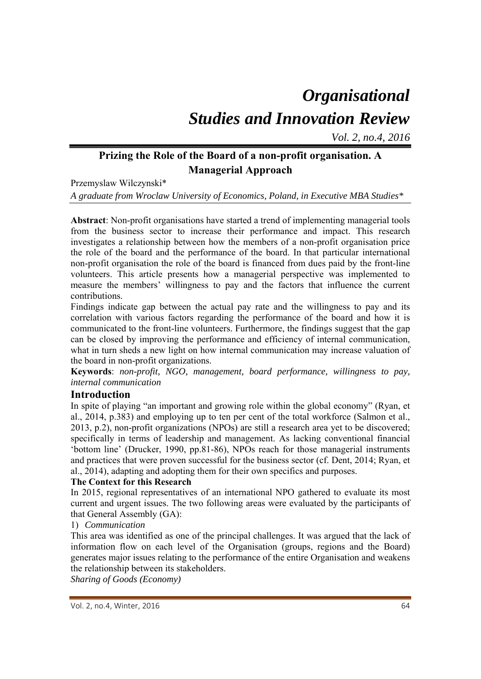# *Organisational Studies and Innovation Review*

*Vol. 2, no.4, 2016*

## **Prizing the Role of the Board of a non-profit organisation. A Managerial Approach**

Przemyslaw Wilczynski\*

*A graduate from Wroclaw University of Economics, Poland, in Executive MBA Studies\** 

**Abstract**: Non-profit organisations have started a trend of implementing managerial tools from the business sector to increase their performance and impact. This research investigates a relationship between how the members of a non-profit organisation price the role of the board and the performance of the board. In that particular international non-profit organisation the role of the board is financed from dues paid by the front-line volunteers. This article presents how a managerial perspective was implemented to measure the members' willingness to pay and the factors that influence the current contributions.

Findings indicate gap between the actual pay rate and the willingness to pay and its correlation with various factors regarding the performance of the board and how it is communicated to the front-line volunteers. Furthermore, the findings suggest that the gap can be closed by improving the performance and efficiency of internal communication, what in turn sheds a new light on how internal communication may increase valuation of the board in non-profit organizations.

**Keywords**: *non-profit, NGO, management, board performance, willingness to pay, internal communication* 

## **Introduction**

In spite of playing "an important and growing role within the global economy" (Ryan, et al., 2014, p.383) and employing up to ten per cent of the total workforce (Salmon et al., 2013, p.2), non-profit organizations (NPOs) are still a research area yet to be discovered; specifically in terms of leadership and management. As lacking conventional financial 'bottom line' (Drucker, 1990, pp.81-86), NPOs reach for those managerial instruments and practices that were proven successful for the business sector (cf. Dent, 2014; Ryan, et al., 2014), adapting and adopting them for their own specifics and purposes.

## **The Context for this Research**

In 2015, regional representatives of an international NPO gathered to evaluate its most current and urgent issues. The two following areas were evaluated by the participants of that General Assembly (GA):

1) *Communication*

This area was identified as one of the principal challenges. It was argued that the lack of information flow on each level of the Organisation (groups, regions and the Board) generates major issues relating to the performance of the entire Organisation and weakens the relationship between its stakeholders.

*Sharing of Goods (Economy)*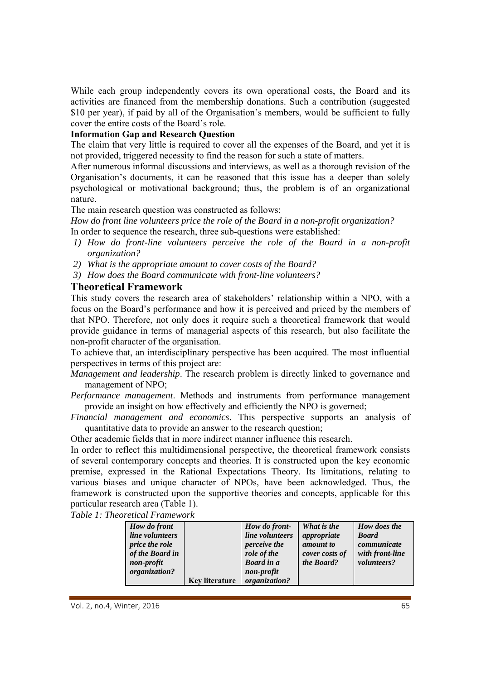While each group independently covers its own operational costs, the Board and its activities are financed from the membership donations. Such a contribution (suggested \$10 per year), if paid by all of the Organisation's members, would be sufficient to fully cover the entire costs of the Board's role.

#### **Information Gap and Research Question**

The claim that very little is required to cover all the expenses of the Board, and yet it is not provided, triggered necessity to find the reason for such a state of matters.

After numerous informal discussions and interviews, as well as a thorough revision of the Organisation's documents, it can be reasoned that this issue has a deeper than solely psychological or motivational background; thus, the problem is of an organizational nature.

The main research question was constructed as follows:

*How do front line volunteers price the role of the Board in a non-profit organization?*  In order to sequence the research, three sub-questions were established:

- *1) How do front-line volunteers perceive the role of the Board in a non-profit organization?*
- *2) What is the appropriate amount to cover costs of the Board?*
- *3) How does the Board communicate with front-line volunteers?*

## **Theoretical Framework**

This study covers the research area of stakeholders' relationship within a NPO, with a focus on the Board's performance and how it is perceived and priced by the members of that NPO. Therefore, not only does it require such a theoretical framework that would provide guidance in terms of managerial aspects of this research, but also facilitate the non-profit character of the organisation.

To achieve that, an interdisciplinary perspective has been acquired. The most influential perspectives in terms of this project are:

*Management and leadership*. The research problem is directly linked to governance and management of NPO;

*Performance management*. Methods and instruments from performance management provide an insight on how effectively and efficiently the NPO is governed;

*Financial management and economics*. This perspective supports an analysis of quantitative data to provide an answer to the research question;

Other academic fields that in more indirect manner influence this research.

In order to reflect this multidimensional perspective, the theoretical framework consists of several contemporary concepts and theories. It is constructed upon the key economic premise, expressed in the Rational Expectations Theory. Its limitations, relating to various biases and unique character of NPOs, have been acknowledged. Thus, the framework is constructed upon the supportive theories and concepts, applicable for this particular research area (Table 1).

*Table 1: Theoretical Framework* 

|                       |                       |                     | What is the    | How does the    |
|-----------------------|-----------------------|---------------------|----------------|-----------------|
| How do front          |                       | How do front-       |                |                 |
| line volunteers       |                       | line volunteers     | appropriate    | <b>Board</b>    |
| <i>price the role</i> |                       | <i>perceive the</i> | amount to      | communicate     |
| of the Board in       |                       | role of the         | cover costs of | with front-line |
| non-profit            |                       | <b>Board in a</b>   | the Board?     | volunteers?     |
| organization?         |                       | non-profit          |                |                 |
|                       | <b>Key literature</b> | organization?       |                |                 |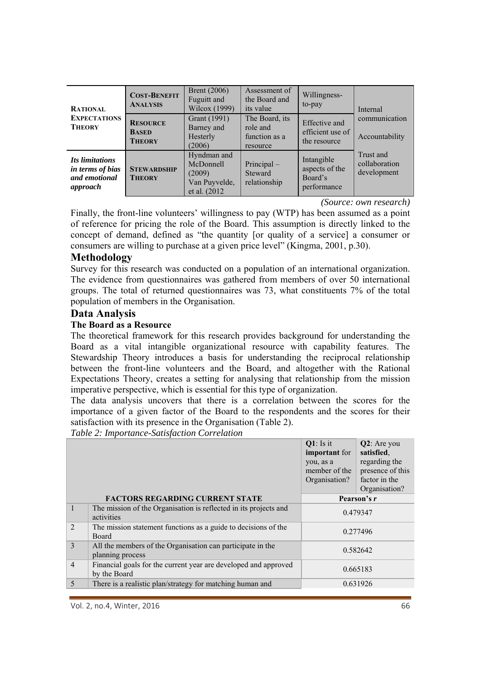| <b>RATIONAL</b><br><b>EXPECTATIONS</b><br><b>THEORY</b>                 | <b>COST-BENEFIT</b><br><b>ANALYSIS</b>           | <b>Brent</b> (2006)<br>Fuguitt and<br>Wilcox (1999)                  | Assessment of<br>the Board and<br>its value             | Willingness-<br>to-pay                                 | Internal                                  |  |
|-------------------------------------------------------------------------|--------------------------------------------------|----------------------------------------------------------------------|---------------------------------------------------------|--------------------------------------------------------|-------------------------------------------|--|
|                                                                         | <b>RESOURCE</b><br><b>BASED</b><br><b>THEORY</b> | Grant (1991)<br>Barney and<br>Hesterly<br>(2006)                     | The Board, its<br>role and<br>function as a<br>resource | Effective and<br>efficient use of<br>the resource      | communication<br>Accountability           |  |
| Its limitations<br><i>in terms of bias</i><br>and emotional<br>approach | <b>STEWARDSHIP</b><br><b>THEORY</b>              | Hyndman and<br>McDonnell<br>(2009)<br>Van Puyvelde,<br>et al. (2012) | Principal-<br>Steward<br>relationship                   | Intangible<br>aspects of the<br>Board's<br>performance | Trust and<br>collaboration<br>development |  |

*(Source: own research)*

Finally, the front-line volunteers' willingness to pay (WTP) has been assumed as a point of reference for pricing the role of the Board. This assumption is directly linked to the concept of demand, defined as "the quantity [or quality of a service] a consumer or consumers are willing to purchase at a given price level" (Kingma, 2001, p.30).

#### **Methodology**

Survey for this research was conducted on a population of an international organization. The evidence from questionnaires was gathered from members of over 50 international groups. The total of returned questionnaires was 73, what constituents 7% of the total population of members in the Organisation.

#### **Data Analysis**

#### **The Board as a Resource**

The theoretical framework for this research provides background for understanding the Board as a vital intangible organizational resource with capability features. The Stewardship Theory introduces a basis for understanding the reciprocal relationship between the front-line volunteers and the Board, and altogether with the Rational Expectations Theory, creates a setting for analysing that relationship from the mission imperative perspective, which is essential for this type of organization.

The data analysis uncovers that there is a correlation between the scores for the importance of a given factor of the Board to the respondents and the scores for their satisfaction with its presence in the Organisation (Table 2).

*Table 2: Importance-Satisfaction Correlation* 

|                |                                                                                 | $Q1$ : Is it<br>important for<br>you, as a<br>member of the<br>Organisation? | $Q2$ : Are you<br>satisfied,<br>regarding the<br>presence of this<br>factor in the<br>Organisation? |
|----------------|---------------------------------------------------------------------------------|------------------------------------------------------------------------------|-----------------------------------------------------------------------------------------------------|
|                | <b>FACTORS REGARDING CURRENT STATE</b>                                          |                                                                              | Pearson's r                                                                                         |
| $\mathbf{1}$   | The mission of the Organisation is reflected in its projects and<br>activities  | 0.479347                                                                     |                                                                                                     |
| $\mathfrak{D}$ | The mission statement functions as a guide to decisions of the<br>Board         | 0.277496                                                                     |                                                                                                     |
| 3              | All the members of the Organisation can participate in the<br>planning process  |                                                                              | 0.582642                                                                                            |
| $\overline{4}$ | Financial goals for the current year are developed and approved<br>by the Board |                                                                              | 0.665183                                                                                            |
| 5              | There is a realistic plan/strategy for matching human and                       |                                                                              | 0.631926                                                                                            |
|                |                                                                                 |                                                                              |                                                                                                     |

Vol. 2, no.4, Winter, 2016 66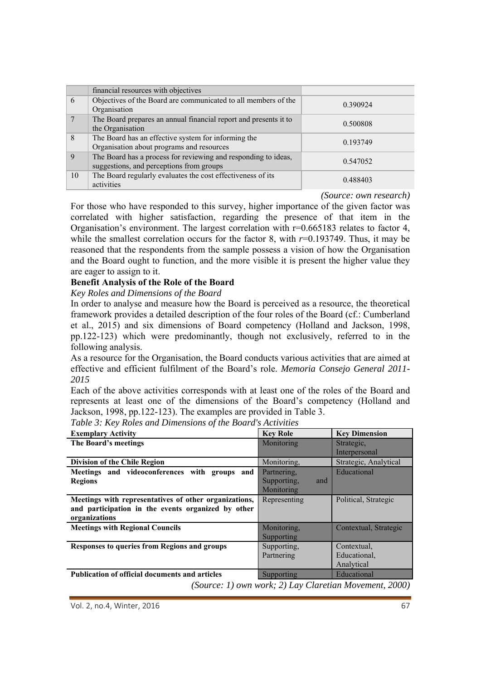|                | financial resources with objectives                                                                        |          |
|----------------|------------------------------------------------------------------------------------------------------------|----------|
| 6              | Objectives of the Board are communicated to all members of the<br>Organisation                             | 0.390924 |
| $\overline{7}$ | The Board prepares an annual financial report and presents it to<br>the Organisation                       | 0.500808 |
| 8              | The Board has an effective system for informing the<br>Organisation about programs and resources           | 0.193749 |
| 9              | The Board has a process for reviewing and responding to ideas,<br>suggestions, and perceptions from groups | 0.547052 |
| 10             | The Board regularly evaluates the cost effectiveness of its<br>activities                                  | 0.488403 |

*(Source: own research)*

For those who have responded to this survey, higher importance of the given factor was correlated with higher satisfaction, regarding the presence of that item in the Organisation's environment. The largest correlation with r=0.665183 relates to factor 4, while the smallest correlation occurs for the factor 8, with  $r=0.193749$ . Thus, it may be reasoned that the respondents from the sample possess a vision of how the Organisation and the Board ought to function, and the more visible it is present the higher value they are eager to assign to it.

#### **Benefit Analysis of the Role of the Board**

#### *Key Roles and Dimensions of the Board*

In order to analyse and measure how the Board is perceived as a resource, the theoretical framework provides a detailed description of the four roles of the Board (cf.: Cumberland et al., 2015) and six dimensions of Board competency (Holland and Jackson, 1998, pp.122-123) which were predominantly, though not exclusively, referred to in the following analysis.

As a resource for the Organisation, the Board conducts various activities that are aimed at effective and efficient fulfilment of the Board's role. *Memoria Consejo General 2011- 2015*

Each of the above activities corresponds with at least one of the roles of the Board and represents at least one of the dimensions of the Board's competency (Holland and Jackson, 1998, pp.122-123). The examples are provided in Table 3.

| <b>Exemplary Activity</b>                             | <b>Key Role</b>    | <b>Key Dimension</b>                                      |
|-------------------------------------------------------|--------------------|-----------------------------------------------------------|
| The Board's meetings                                  | Monitoring         | Strategic,                                                |
|                                                       |                    | Interpersonal                                             |
| <b>Division of the Chile Region</b>                   | Monitoring,        | Strategic, Analytical                                     |
| Meetings and videoconferences with groups and         | Partnering,        | Educational                                               |
| <b>Regions</b>                                        | Supporting,<br>and |                                                           |
|                                                       | Monitoring         |                                                           |
| Meetings with representatives of other organizations, | Representing       | Political, Strategic                                      |
| and participation in the events organized by other    |                    |                                                           |
| organizations                                         |                    |                                                           |
| <b>Meetings with Regional Councils</b>                | Monitoring,        | Contextual, Strategic                                     |
|                                                       | Supporting         |                                                           |
| Responses to queries from Regions and groups          | Supporting,        | Contextual,                                               |
|                                                       | Partnering         | Educational,                                              |
|                                                       |                    | Analytical                                                |
| <b>Publication of official documents and articles</b> | Supporting         | Educational                                               |
|                                                       |                    | $(Source: 1)$ own work: $2)$ Lay Claretian Movement 2000) |

*Table 3: Key Roles and Dimensions of the Board's Activities* 

*(Source: 1) own work; 2) Lay Claretian Movement, 2000)* 

Vol. 2, no.4, Winter, 2016 67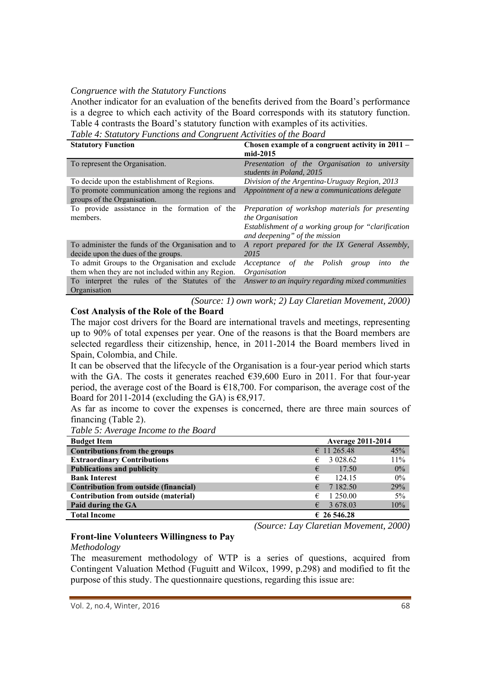#### *Congruence with the Statutory Functions*

Another indicator for an evaluation of the benefits derived from the Board's performance is a degree to which each activity of the Board corresponds with its statutory function. Table 4 contrasts the Board's statutory function with examples of its activities.

*Table 4: Statutory Functions and Congruent Activities of the Board* 

| <b>Statutory Function</b>                                                     | Chosen example of a congruent activity in 2011 –<br>mid-2015                                                                                                  |
|-------------------------------------------------------------------------------|---------------------------------------------------------------------------------------------------------------------------------------------------------------|
| To represent the Organisation.                                                | Presentation of the Organisation to university<br>students in Poland, 2015                                                                                    |
| To decide upon the establishment of Regions.                                  | Division of the Argentina-Uruguay Region, 2013                                                                                                                |
| To promote communication among the regions and<br>groups of the Organisation. | Appointment of a new a communications delegate                                                                                                                |
| To provide assistance in the formation of the<br>members.                     | Preparation of workshop materials for presenting<br>the Organisation<br>Establishment of a working group for "clarification"<br>and deepening" of the mission |
| To administer the funds of the Organisation and to                            | A report prepared for the IX General Assembly,                                                                                                                |
| decide upon the dues of the groups.                                           | 2015                                                                                                                                                          |
| To admit Groups to the Organisation and exclude                               | the Polish<br>Acceptance<br>of<br>into<br>the<br>group                                                                                                        |
| them when they are not included within any Region.                            | Organisation                                                                                                                                                  |
| To interpret the rules of the Statutes of the<br>Organisation                 | Answer to an inquiry regarding mixed communities                                                                                                              |

*(Source: 1) own work; 2) Lay Claretian Movement, 2000)*

#### **Cost Analysis of the Role of the Board**

The major cost drivers for the Board are international travels and meetings, representing up to 90% of total expenses per year. One of the reasons is that the Board members are selected regardless their citizenship, hence, in 2011-2014 the Board members lived in Spain, Colombia, and Chile.

It can be observed that the lifecycle of the Organisation is a four-year period which starts with the GA. The costs it generates reached  $\epsilon$ 39,600 Euro in 2011. For that four-year period, the average cost of the Board is  $\epsilon$ 18,700. For comparison, the average cost of the Board for 2011-2014 (excluding the GA) is  $\epsilon$ 8,917.

As far as income to cover the expenses is concerned, there are three main sources of financing (Table 2).

| <b>Budget Item</b>                    |                      | <b>Average 2011-2014</b> |  |  |
|---------------------------------------|----------------------|--------------------------|--|--|
| <b>Contributions from the groups</b>  | $\epsilon$ 11 265.48 | 45%                      |  |  |
| <b>Extraordinary Contributions</b>    | 3 0 28.62<br>€       | 11%                      |  |  |
| <b>Publications and publicity</b>     | €<br>17.50           | $0\%$                    |  |  |
| <b>Bank Interest</b>                  | €<br>124.15          | $0\%$                    |  |  |
| Contribution from outside (financial) | 7 182.50<br>€        | 29%                      |  |  |
| Contribution from outside (material)  | 1 250.00<br>€        | 5%                       |  |  |
| Paid during the GA                    | 3 678.03<br>€        | 10%                      |  |  |
| <b>Total Income</b>                   | $\epsilon$ 26 546.28 |                          |  |  |

*Table 5: Average Income to the Board* 

*(Source: Lay Claretian Movement, 2000)* 

## **Front-line Volunteers Willingness to Pay**

#### *Methodology*

The measurement methodology of WTP is a series of questions, acquired from Contingent Valuation Method (Fuguitt and Wilcox, 1999, p.298) and modified to fit the purpose of this study. The questionnaire questions, regarding this issue are: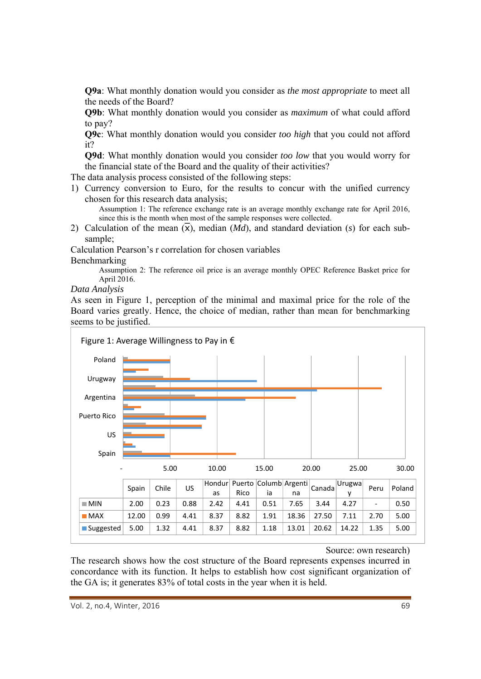**Q9a**: What monthly donation would you consider as *the most appropriate* to meet all the needs of the Board?

**Q9b**: What monthly donation would you consider as *maximum* of what could afford to pay?

**Q9c**: What monthly donation would you consider *too high* that you could not afford it?

**Q9d**: What monthly donation would you consider *too low* that you would worry for the financial state of the Board and the quality of their activities?

The data analysis process consisted of the following steps:

1) Currency conversion to Euro, for the results to concur with the unified currency chosen for this research data analysis;

Assumption 1: The reference exchange rate is an average monthly exchange rate for April 2016, since this is the month when most of the sample responses were collected.

2) Calculation of the mean  $(\bar{x})$ , median  $(Md)$ , and standard deviation (s) for each subsample;

Calculation Pearson's r correlation for chosen variables Benchmarking

> Assumption 2: The reference oil price is an average monthly OPEC Reference Basket price for April 2016.

*Data Analysis* 

As seen in Figure 1, perception of the minimal and maximal price for the role of the Board varies greatly. Hence, the choice of median, rather than mean for benchmarking seems to be justified.



#### Source: own research)

The research shows how the cost structure of the Board represents expenses incurred in concordance with its function. It helps to establish how cost significant organization of the GA is; it generates 83% of total costs in the year when it is held.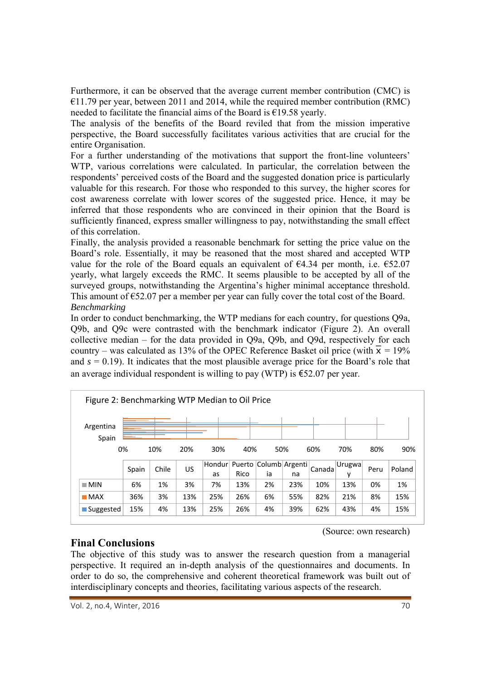Furthermore, it can be observed that the average current member contribution (CMC) is  $€11.79$  per year, between 2011 and 2014, while the required member contribution (RMC) needed to facilitate the financial aims of the Board is  $\epsilon$ 19.58 yearly.

The analysis of the benefits of the Board reviled that from the mission imperative perspective, the Board successfully facilitates various activities that are crucial for the entire Organisation.

For a further understanding of the motivations that support the front-line volunteers' WTP, various correlations were calculated. In particular, the correlation between the respondents' perceived costs of the Board and the suggested donation price is particularly valuable for this research. For those who responded to this survey, the higher scores for cost awareness correlate with lower scores of the suggested price. Hence, it may be inferred that those respondents who are convinced in their opinion that the Board is sufficiently financed, express smaller willingness to pay, notwithstanding the small effect of this correlation.

Finally, the analysis provided a reasonable benchmark for setting the price value on the Board's role. Essentially, it may be reasoned that the most shared and accepted WTP value for the role of the Board equals an equivalent of  $\epsilon$ 4.34 per month, i.e.  $\epsilon$ 52.07 yearly, what largely exceeds the RMC. It seems plausible to be accepted by all of the surveyed groups, notwithstanding the Argentina's higher minimal acceptance threshold. This amount of  $\epsilon$ 52.07 per a member per year can fully cover the total cost of the Board. *Benchmarking* 

In order to conduct benchmarking, the WTP medians for each country, for questions Q9a, Q9b, and Q9c were contrasted with the benchmark indicator (Figure 2). An overall collective median – for the data provided in Q9a, Q9b, and Q9d, respectively for each country – was calculated as 13% of the OPEC Reference Basket oil price (with  $\bar{x} = 19\%$ and  $s = 0.19$ ). It indicates that the most plausible average price for the Board's role that an average individual respondent is willing to pay (WTP) is  $\text{\textsterling}52.07$  per year.

| Figure 2: Benchmarking WTP Median to Oil Price |       |       |     |     |      |     |                                    |        |             |      |        |
|------------------------------------------------|-------|-------|-----|-----|------|-----|------------------------------------|--------|-------------|------|--------|
| Argentina<br>Spain                             |       |       |     |     |      |     |                                    |        |             |      |        |
| 0%                                             |       | 10%   | 20% | 30% | 40%  | 50% |                                    | 60%    | 70%         | 80%  | 90%    |
|                                                | Spain | Chile | US  | as  | Rico | ia  | Hondur Puerto Columb Argenti<br>na | Canada | Urugwa<br>ν | Peru | Poland |
| $\blacksquare$ MIN                             | 6%    | 1%    | 3%  | 7%  | 13%  | 2%  | 23%                                | 10%    | 13%         | 0%   | 1%     |
| $\blacksquare$ MAX                             | 36%   | 3%    | 13% | 25% | 26%  | 6%  | 55%                                | 82%    | 21%         | 8%   | 15%    |
| ■ Suggested                                    | 15%   | 4%    | 13% | 25% | 26%  | 4%  | 39%                                | 62%    | 43%         | 4%   | 15%    |

(Source: own research)

## **Final Conclusions**

The objective of this study was to answer the research question from a managerial perspective. It required an in-depth analysis of the questionnaires and documents. In order to do so, the comprehensive and coherent theoretical framework was built out of interdisciplinary concepts and theories, facilitating various aspects of the research.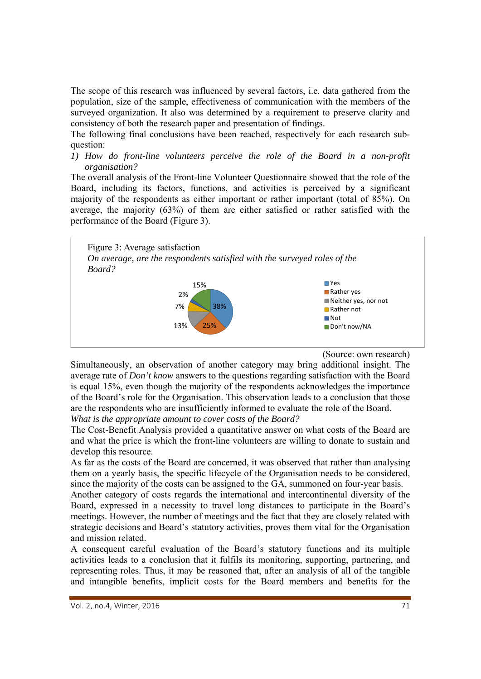The scope of this research was influenced by several factors, i.e. data gathered from the population, size of the sample, effectiveness of communication with the members of the surveyed organization. It also was determined by a requirement to preserve clarity and consistency of both the research paper and presentation of findings.

The following final conclusions have been reached, respectively for each research subquestion:

*1) How do front-line volunteers perceive the role of the Board in a non-profit organisation?* 

The overall analysis of the Front-line Volunteer Questionnaire showed that the role of the Board, including its factors, functions, and activities is perceived by a significant majority of the respondents as either important or rather important (total of 85%). On average, the majority (63%) of them are either satisfied or rather satisfied with the performance of the Board (Figure 3).



(Source: own research)

Simultaneously, an observation of another category may bring additional insight. The average rate of *Don't know* answers to the questions regarding satisfaction with the Board is equal 15%, even though the majority of the respondents acknowledges the importance of the Board's role for the Organisation. This observation leads to a conclusion that those are the respondents who are insufficiently informed to evaluate the role of the Board. *What is the appropriate amount to cover costs of the Board?* 

The Cost-Benefit Analysis provided a quantitative answer on what costs of the Board are and what the price is which the front-line volunteers are willing to donate to sustain and develop this resource.

As far as the costs of the Board are concerned, it was observed that rather than analysing them on a yearly basis, the specific lifecycle of the Organisation needs to be considered, since the majority of the costs can be assigned to the GA, summoned on four-year basis.

Another category of costs regards the international and intercontinental diversity of the Board, expressed in a necessity to travel long distances to participate in the Board's meetings. However, the number of meetings and the fact that they are closely related with strategic decisions and Board's statutory activities, proves them vital for the Organisation and mission related.

A consequent careful evaluation of the Board's statutory functions and its multiple activities leads to a conclusion that it fulfils its monitoring, supporting, partnering, and representing roles. Thus, it may be reasoned that, after an analysis of all of the tangible and intangible benefits, implicit costs for the Board members and benefits for the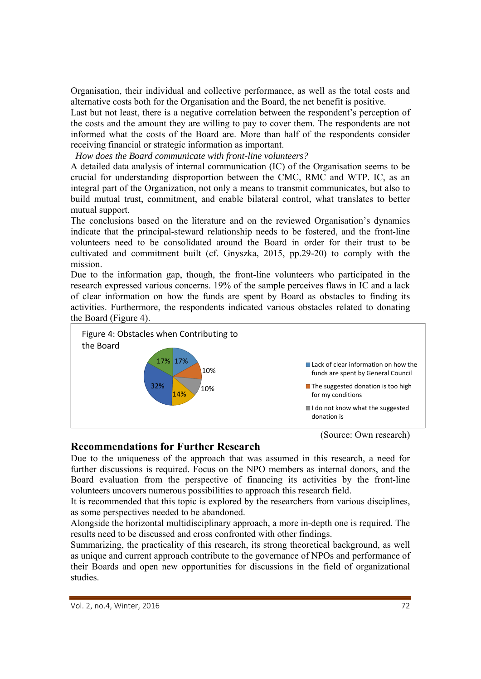Organisation, their individual and collective performance, as well as the total costs and alternative costs both for the Organisation and the Board, the net benefit is positive.

Last but not least, there is a negative correlation between the respondent's perception of the costs and the amount they are willing to pay to cover them. The respondents are not informed what the costs of the Board are. More than half of the respondents consider receiving financial or strategic information as important.

 *How does the Board communicate with front-line volunteers?* 

A detailed data analysis of internal communication (IC) of the Organisation seems to be crucial for understanding disproportion between the CMC, RMC and WTP. IC, as an integral part of the Organization, not only a means to transmit communicates, but also to build mutual trust, commitment, and enable bilateral control, what translates to better mutual support.

The conclusions based on the literature and on the reviewed Organisation's dynamics indicate that the principal-steward relationship needs to be fostered, and the front-line volunteers need to be consolidated around the Board in order for their trust to be cultivated and commitment built (cf. Gnyszka, 2015, pp.29-20) to comply with the mission.

Due to the information gap, though, the front-line volunteers who participated in the research expressed various concerns. 19% of the sample perceives flaws in IC and a lack of clear information on how the funds are spent by Board as obstacles to finding its activities. Furthermore, the respondents indicated various obstacles related to donating the Board (Figure 4).



## **Recommendations for Further Research**

Due to the uniqueness of the approach that was assumed in this research, a need for further discussions is required. Focus on the NPO members as internal donors, and the Board evaluation from the perspective of financing its activities by the front-line volunteers uncovers numerous possibilities to approach this research field.

It is recommended that this topic is explored by the researchers from various disciplines, as some perspectives needed to be abandoned.

Alongside the horizontal multidisciplinary approach, a more in-depth one is required. The results need to be discussed and cross confronted with other findings.

Summarizing, the practicality of this research, its strong theoretical background, as well as unique and current approach contribute to the governance of NPOs and performance of their Boards and open new opportunities for discussions in the field of organizational studies.